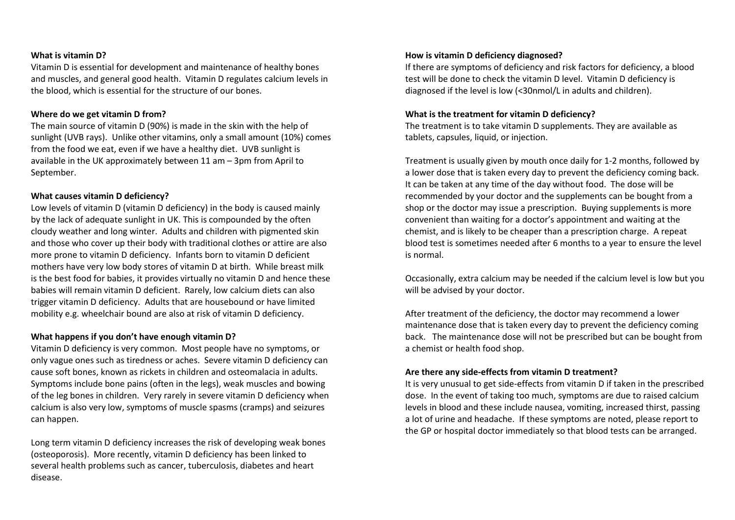#### **What is vitamin D?**

Vitamin D is essential for development and maintenance of healthy bones and muscles, and general good health. Vitamin D regulates calcium levels in the blood, which is essential for the structure of our bones.

# **Where do we get vitamin D from?**

The main source of vitamin D (90%) is made in the skin with the help of sunlight (UVB rays). Unlike other vitamins, only a small amount (10%) comes from the food we eat, even if we have a healthy diet. UVB sunlight is available in the UK approximately between 11 am – 3pm from April to September.

# **What causes vitamin D deficiency?**

Low levels of vitamin D (vitamin D deficiency) in the body is caused mainly by the lack of adequate sunlight in UK. This is compounded by the often cloudy weather and long winter. Adults and children with pigmented skin and those who cover up their body with traditional clothes or attire are also more prone to vitamin D deficiency. Infants born to vitamin D deficient mothers have very low body stores of vitamin D at birth. While breast milk is the best food for babies, it provides virtually no vitamin D and hence these babies will remain vitamin D deficient. Rarely, low calcium diets can also trigger vitamin D deficiency. Adults that are housebound or have limited mobility e.g. wheelchair bound are also at risk of vitamin D deficiency.

#### **What happens if you don't have enough vitamin D?**

Vitamin D deficiency is very common. Most people have no symptoms, or only vague ones such as tiredness or aches. Severe vitamin D deficiency can cause soft bones, known as rickets in children and osteomalacia in adults. Symptoms include bone pains (often in the legs), weak muscles and bowing of the leg bones in children. Very rarely in severe vitamin D deficiency when calcium is also very low, symptoms of muscle spasms (cramps) and seizures can happen.

Long term vitamin D deficiency increases the risk of developing weak bones (osteoporosis). More recently, vitamin D deficiency has been linked to several health problems such as cancer, tuberculosis, diabetes and heart disease.

#### **How is vitamin D deficiency diagnosed?**

If there are symptoms of deficiency and risk factors for deficiency, a blood test will be done to check the vitamin D level. Vitamin D deficiency is diagnosed if the level is low (<30nmol/L in adults and children).

### **What is the treatment for vitamin D deficiency?**

The treatment is to take vitamin D supplements. They are available as tablets, capsules, liquid, or injection.

Treatment is usually given by mouth once daily for 1-2 months, followed by a lower dose that is taken every day to prevent the deficiency coming back. It can be taken at any time of the day without food. The dose will be recommended by your doctor and the supplements can be bought from a shop or the doctor may issue a prescription. Buying supplements is more convenient than waiting for a doctor's appointment and waiting at the chemist, and is likely to be cheaper than a prescription charge. A repeat blood test is sometimes needed after 6 months to a year to ensure the level is normal.

Occasionally, extra calcium may be needed if the calcium level is low but you will be advised by your doctor.

After treatment of the deficiency, the doctor may recommend a lower maintenance dose that is taken every day to prevent the deficiency coming back. The maintenance dose will not be prescribed but can be bought from a chemist or health food shop.

#### **Are there any side-effects from vitamin D treatment?**

It is very unusual to get side-effects from vitamin D if taken in the prescribed dose. In the event of taking too much, symptoms are due to raised calcium levels in blood and these include nausea, vomiting, increased thirst, passing a lot of urine and headache. If these symptoms are noted, please report to the GP or hospital doctor immediately so that blood tests can be arranged.